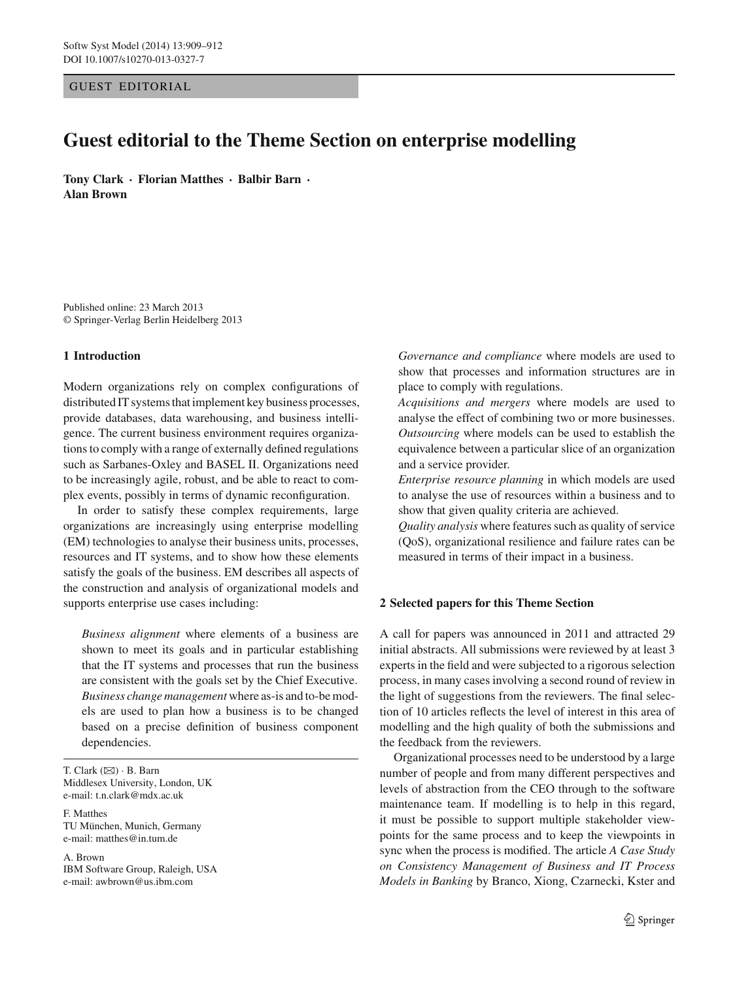GUEST EDITORIAL

# **Guest editorial to the Theme Section on enterprise modelling**

**Tony Clark · Florian Matthes · Balbir Barn · Alan Brown**

Published online: 23 March 2013 © Springer-Verlag Berlin Heidelberg 2013

## **1 Introduction**

Modern organizations rely on complex configurations of distributed IT systems that implement key business processes, provide databases, data warehousing, and business intelligence. The current business environment requires organizations to comply with a range of externally defined regulations such as Sarbanes-Oxley and BASEL II. Organizations need to be increasingly agile, robust, and be able to react to complex events, possibly in terms of dynamic reconfiguration.

In order to satisfy these complex requirements, large organizations are increasingly using enterprise modelling (EM) technologies to analyse their business units, processes, resources and IT systems, and to show how these elements satisfy the goals of the business. EM describes all aspects of the construction and analysis of organizational models and supports enterprise use cases including:

*Business alignment* where elements of a business are shown to meet its goals and in particular establishing that the IT systems and processes that run the business are consistent with the goals set by the Chief Executive. *Business change management* where as-is and to-be models are used to plan how a business is to be changed based on a precise definition of business component dependencies.

T. Clark  $(\boxtimes) \cdot$  B. Barn Middlesex University, London, UK e-mail: t.n.clark@mdx.ac.uk

F. Matthes TU München, Munich, Germany e-mail: matthes@in.tum.de

A. Brown IBM Software Group, Raleigh, USA e-mail: awbrown@us.ibm.com

*Governance and compliance* where models are used to show that processes and information structures are in place to comply with regulations.

*Acquisitions and mergers* where models are used to analyse the effect of combining two or more businesses. *Outsourcing* where models can be used to establish the equivalence between a particular slice of an organization and a service provider.

*Enterprise resource planning* in which models are used to analyse the use of resources within a business and to show that given quality criteria are achieved.

*Quality analysis* where features such as quality of service (QoS), organizational resilience and failure rates can be measured in terms of their impact in a business.

### **2 Selected papers for this Theme Section**

A call for papers was announced in 2011 and attracted 29 initial abstracts. All submissions were reviewed by at least 3 experts in the field and were subjected to a rigorous selection process, in many cases involving a second round of review in the light of suggestions from the reviewers. The final selection of 10 articles reflects the level of interest in this area of modelling and the high quality of both the submissions and the feedback from the reviewers.

Organizational processes need to be understood by a large number of people and from many different perspectives and levels of abstraction from the CEO through to the software maintenance team. If modelling is to help in this regard, it must be possible to support multiple stakeholder viewpoints for the same process and to keep the viewpoints in sync when the process is modified. The article *A Case Study on Consistency Management of Business and IT Process Models in Banking* by Branco, Xiong, Czarnecki, Kster and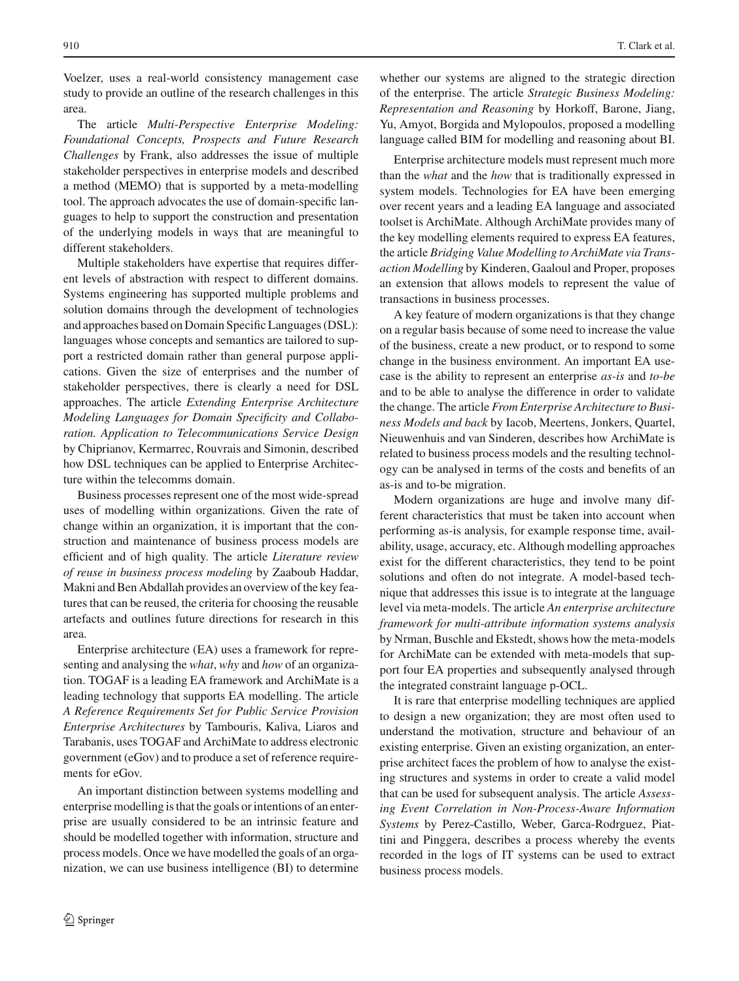Voelzer, uses a real-world consistency management case study to provide an outline of the research challenges in this area.

The article *Multi-Perspective Enterprise Modeling: Foundational Concepts, Prospects and Future Research Challenges* by Frank, also addresses the issue of multiple stakeholder perspectives in enterprise models and described a method (MEMO) that is supported by a meta-modelling tool. The approach advocates the use of domain-specific languages to help to support the construction and presentation of the underlying models in ways that are meaningful to different stakeholders.

Multiple stakeholders have expertise that requires different levels of abstraction with respect to different domains. Systems engineering has supported multiple problems and solution domains through the development of technologies and approaches based on Domain Specific Languages (DSL): languages whose concepts and semantics are tailored to support a restricted domain rather than general purpose applications. Given the size of enterprises and the number of stakeholder perspectives, there is clearly a need for DSL approaches. The article *Extending Enterprise Architecture Modeling Languages for Domain Specificity and Collaboration. Application to Telecommunications Service Design* by Chiprianov, Kermarrec, Rouvrais and Simonin, described how DSL techniques can be applied to Enterprise Architecture within the telecomms domain.

Business processes represent one of the most wide-spread uses of modelling within organizations. Given the rate of change within an organization, it is important that the construction and maintenance of business process models are efficient and of high quality. The article *Literature review of reuse in business process modeling* by Zaaboub Haddar, Makni and Ben Abdallah provides an overview of the key features that can be reused, the criteria for choosing the reusable artefacts and outlines future directions for research in this area.

Enterprise architecture (EA) uses a framework for representing and analysing the *what*, *why* and *how* of an organization. TOGAF is a leading EA framework and ArchiMate is a leading technology that supports EA modelling. The article *A Reference Requirements Set for Public Service Provision Enterprise Architectures* by Tambouris, Kaliva, Liaros and Tarabanis, uses TOGAF and ArchiMate to address electronic government (eGov) and to produce a set of reference requirements for eGov.

An important distinction between systems modelling and enterprise modelling is that the goals or intentions of an enterprise are usually considered to be an intrinsic feature and should be modelled together with information, structure and process models. Once we have modelled the goals of an organization, we can use business intelligence (BI) to determine whether our systems are aligned to the strategic direction of the enterprise. The article *Strategic Business Modeling: Representation and Reasoning* by Horkoff, Barone, Jiang, Yu, Amyot, Borgida and Mylopoulos, proposed a modelling language called BIM for modelling and reasoning about BI.

Enterprise architecture models must represent much more than the *what* and the *how* that is traditionally expressed in system models. Technologies for EA have been emerging over recent years and a leading EA language and associated toolset is ArchiMate. Although ArchiMate provides many of the key modelling elements required to express EA features, the article *Bridging Value Modelling to ArchiMate via Transaction Modelling* by Kinderen, Gaaloul and Proper, proposes an extension that allows models to represent the value of transactions in business processes.

A key feature of modern organizations is that they change on a regular basis because of some need to increase the value of the business, create a new product, or to respond to some change in the business environment. An important EA usecase is the ability to represent an enterprise *as-is* and *to-be* and to be able to analyse the difference in order to validate the change. The article *From Enterprise Architecture to Business Models and back* by Iacob, Meertens, Jonkers, Quartel, Nieuwenhuis and van Sinderen, describes how ArchiMate is related to business process models and the resulting technology can be analysed in terms of the costs and benefits of an as-is and to-be migration.

Modern organizations are huge and involve many different characteristics that must be taken into account when performing as-is analysis, for example response time, availability, usage, accuracy, etc. Although modelling approaches exist for the different characteristics, they tend to be point solutions and often do not integrate. A model-based technique that addresses this issue is to integrate at the language level via meta-models. The article *An enterprise architecture framework for multi-attribute information systems analysis* by Nrman, Buschle and Ekstedt, shows how the meta-models for ArchiMate can be extended with meta-models that support four EA properties and subsequently analysed through the integrated constraint language p-OCL.

It is rare that enterprise modelling techniques are applied to design a new organization; they are most often used to understand the motivation, structure and behaviour of an existing enterprise. Given an existing organization, an enterprise architect faces the problem of how to analyse the existing structures and systems in order to create a valid model that can be used for subsequent analysis. The article *Assessing Event Correlation in Non-Process-Aware Information Systems* by Perez-Castillo, Weber, Garca-Rodrguez, Piattini and Pinggera, describes a process whereby the events recorded in the logs of IT systems can be used to extract business process models.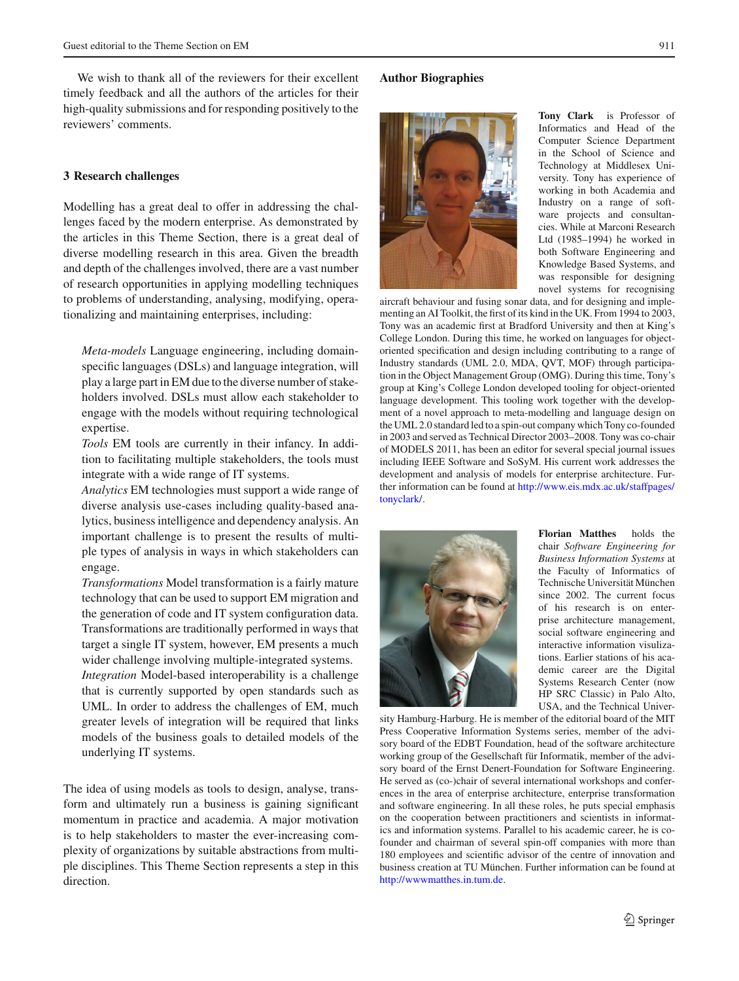We wish to thank all of the reviewers for their excellent timely feedback and all the authors of the articles for their high-quality submissions and for responding positively to the reviewers' comments.

## **3 Research challenges**

Modelling has a great deal to offer in addressing the challenges faced by the modern enterprise. As demonstrated by the articles in this Theme Section, there is a great deal of diverse modelling research in this area. Given the breadth and depth of the challenges involved, there are a vast number of research opportunities in applying modelling techniques to problems of understanding, analysing, modifying, operationalizing and maintaining enterprises, including:

*Meta-models* Language engineering, including domainspecific languages (DSLs) and language integration, will play a large part in EM due to the diverse number of stakeholders involved. DSLs must allow each stakeholder to engage with the models without requiring technological expertise.

*Tools* EM tools are currently in their infancy. In addition to facilitating multiple stakeholders, the tools must integrate with a wide range of IT systems.

*Analytics* EM technologies must support a wide range of diverse analysis use-cases including quality-based analytics, business intelligence and dependency analysis. An important challenge is to present the results of multiple types of analysis in ways in which stakeholders can engage.

*Transformations* Model transformation is a fairly mature technology that can be used to support EM migration and the generation of code and IT system configuration data. Transformations are traditionally performed in ways that target a single IT system, however, EM presents a much wider challenge involving multiple-integrated systems.

*Integration* Model-based interoperability is a challenge that is currently supported by open standards such as UML. In order to address the challenges of EM, much greater levels of integration will be required that links models of the business goals to detailed models of the underlying IT systems.

The idea of using models as tools to design, analyse, transform and ultimately run a business is gaining significant momentum in practice and academia. A major motivation is to help stakeholders to master the ever-increasing complexity of organizations by suitable abstractions from multiple disciplines. This Theme Section represents a step in this direction.

#### **Author Biographies**



**Tony Clark** is Professor of Informatics and Head of the Computer Science Department in the School of Science and Technology at Middlesex University. Tony has experience of working in both Academia and Industry on a range of software projects and consultancies. While at Marconi Research Ltd (1985–1994) he worked in both Software Engineering and Knowledge Based Systems, and was responsible for designing novel systems for recognising

aircraft behaviour and fusing sonar data, and for designing and implementing an AI Toolkit, the first of its kind in the UK. From 1994 to 2003, Tony was an academic first at Bradford University and then at King's College London. During this time, he worked on languages for objectoriented specification and design including contributing to a range of Industry standards (UML 2.0, MDA, QVT, MOF) through participation in the Object Management Group (OMG). During this time, Tony's group at King's College London developed tooling for object-oriented language development. This tooling work together with the development of a novel approach to meta-modelling and language design on the UML 2.0 standard led to a spin-out company which Tony co-founded in 2003 and served as Technical Director 2003–2008. Tony was co-chair of MODELS 2011, has been an editor for several special journal issues including IEEE Software and SoSyM. His current work addresses the development and analysis of models for enterprise architecture. Further information can be found at [http://www.eis.mdx.ac.uk/staffpages/](http://www.eis.mdx.ac.uk/staffpages/tonyclark/) [tonyclark/.](http://www.eis.mdx.ac.uk/staffpages/tonyclark/)



**Florian Matthes** holds the chair *Software Engineering for Business Information Systems* at the Faculty of Informatics of Technische Universität München since 2002. The current focus of his research is on enterprise architecture management, social software engineering and interactive information visulizations. Earlier stations of his academic career are the Digital Systems Research Center (now HP SRC Classic) in Palo Alto, USA, and the Technical Univer-

sity Hamburg-Harburg. He is member of the editorial board of the MIT Press Cooperative Information Systems series, member of the advisory board of the EDBT Foundation, head of the software architecture working group of the Gesellschaft für Informatik, member of the advisory board of the Ernst Denert-Foundation for Software Engineering. He served as (co-)chair of several international workshops and conferences in the area of enterprise architecture, enterprise transformation and software engineering. In all these roles, he puts special emphasis on the cooperation between practitioners and scientists in informatics and information systems. Parallel to his academic career, he is cofounder and chairman of several spin-off companies with more than 180 employees and scientific advisor of the centre of innovation and business creation at TU München. Further information can be found at [http://wwwmatthes.in.tum.de.](http://wwwmatthes.in.tum.de)